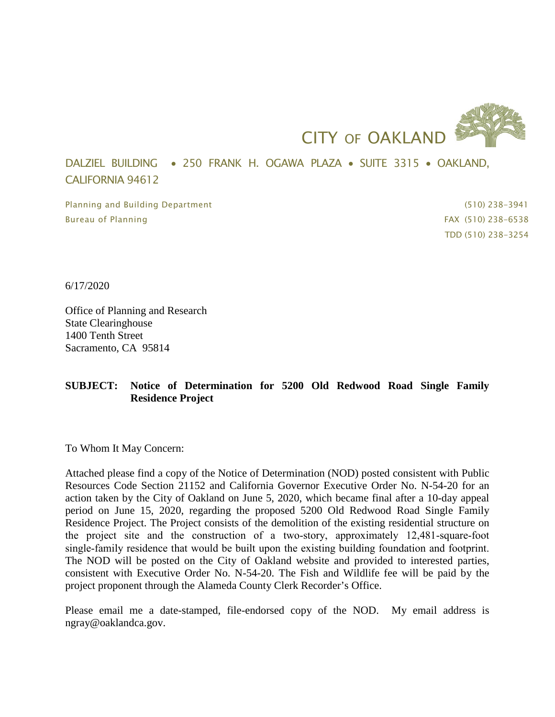

DALZIEL BUILDING • 250 FRANK H. OGAWA PLAZA • SUITE 3315 • OAKLAND, CALIFORNIA 94612

Planning and Building Department (510) 238-3941 Bureau of Planning FAX (510) 238-6538

TDD (510) 238-3254

6/17/2020

Office of Planning and Research State Clearinghouse 1400 Tenth Street Sacramento, CA 95814

## **SUBJECT: Notice of Determination for 5200 Old Redwood Road Single Family Residence Project**

To Whom It May Concern:

Attached please find a copy of the Notice of Determination (NOD) posted consistent with Public Resources Code Section 21152 and California Governor Executive Order No. N-54-20 for an action taken by the City of Oakland on June 5, 2020, which became final after a 10-day appeal period on June 15, 2020, regarding the proposed 5200 Old Redwood Road Single Family Residence Project. The Project consists of the demolition of the existing residential structure on the project site and the construction of a two-story, approximately 12,481-square-foot single‐family residence that would be built upon the existing building foundation and footprint. The NOD will be posted on the City of Oakland website and provided to interested parties, consistent with Executive Order No. N-54-20. The Fish and Wildlife fee will be paid by the project proponent through the Alameda County Clerk Recorder's Office.

Please email me a date-stamped, file-endorsed copy of the NOD. My email address is ngray@oaklandca.gov.